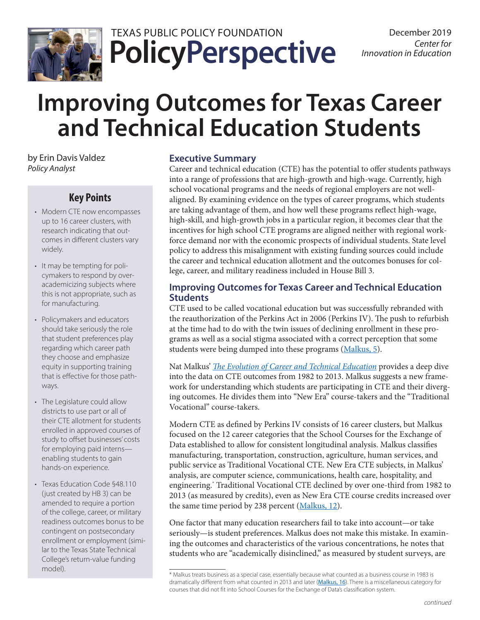

## **PolicyPerspective** TEXAS PUBLIC POLICY FOUNDATION December 2019

# **Improving Outcomes for Texas Career and Technical Education Students**

by Erin Davis Valdez *Policy Analyst*

## **Key Points**

- Modern CTE now encompasses up to 16 career clusters, with research indicating that outcomes in different clusters vary widely.
- It may be tempting for policymakers to respond by overacademicizing subjects where this is not appropriate, such as for manufacturing.
- Policymakers and educators should take seriously the role that student preferences play regarding which career path they choose and emphasize equity in supporting training that is effective for those pathways.
- The Legislature could allow districts to use part or all of their CTE allotment for students enrolled in approved courses of study to offset businesses' costs for employing paid interns enabling students to gain hands-on experience.
- Texas Education Code §48.110 (just created by HB 3) can be amended to require a portion of the college, career, or military readiness outcomes bonus to be contingent on postsecondary enrollment or employment (similar to the Texas State Technical College's return-value funding model).

## **Executive Summary**

Career and technical education (CTE) has the potential to offer students pathways into a range of professions that are high-growth and high-wage. Currently, high school vocational programs and the needs of regional employers are not wellaligned. By examining evidence on the types of career programs, which students are taking advantage of them, and how well these programs reflect high-wage, high-skill, and high-growth jobs in a particular region, it becomes clear that the incentives for high school CTE programs are aligned neither with regional workforce demand nor with the economic prospects of individual students. State level policy to address this misalignment with existing funding sources could include the career and technical education allotment and the outcomes bonuses for college, career, and military readiness included in House Bill 3.

## **Improving Outcomes for Texas Career and Technical Education Students**

CTE used to be called vocational education but was successfully rebranded with the reauthorization of the Perkins Act in 2006 (Perkins IV). The push to refurbish at the time had to do with the twin issues of declining enrollment in these programs as well as a social stigma associated with a correct perception that some students were being dumped into these programs [\(Malkus, 5](http://www.aei.org/wp-content/uploads/2019/04/RPT-Malkus-Evolution-of-CTE-5-FINAL.pdf)).

Nat Malkus' *[The Evolution of Career and Technical Education](http://www.aei.org/wp-content/uploads/2019/04/RPT-Malkus-Evolution-of-CTE-5-FINAL.pdf)* provides a deep dive into the data on CTE outcomes from 1982 to 2013. Malkus suggests a new framework for understanding which students are participating in CTE and their diverging outcomes. He divides them into "New Era" course-takers and the "Traditional Vocational" course-takers.

Modern CTE as defined by Perkins IV consists of 16 career clusters, but Malkus focused on the 12 career categories that the School Courses for the Exchange of Data established to allow for consistent longitudinal analysis. Malkus classifies manufacturing, transportation, construction, agriculture, human services, and public service as Traditional Vocational CTE. New Era CTE subjects, in Malkus' analysis, are computer science, communications, health care, hospitality, and engineering.\* Traditional Vocational CTE declined by over one-third from 1982 to 2013 (as measured by credits), even as New Era CTE course credits increased over the same time period by 238 percent [\(Malkus, 12](http://www.aei.org/wp-content/uploads/2019/04/RPT-Malkus-Evolution-of-CTE-5-FINAL.pdf)).

One factor that many education researchers fail to take into account—or take seriously—is student preferences. Malkus does not make this mistake. In examining the outcomes and characteristics of the various concentrations, he notes that students who are "academically disinclined," as measured by student surveys, are

<sup>\*</sup> Malkus treats business as a special case, essentially because what counted as a business course in 1983 is dramatically different from what counted in 2013 and later ([Malkus, 16](http://www.aei.org/wp-content/uploads/2019/04/RPT-Malkus-Evolution-of-CTE-5-FINAL.pdf)). There is a miscellaneous category for courses that did not fit into School Courses for the Exchange of Data's classification system.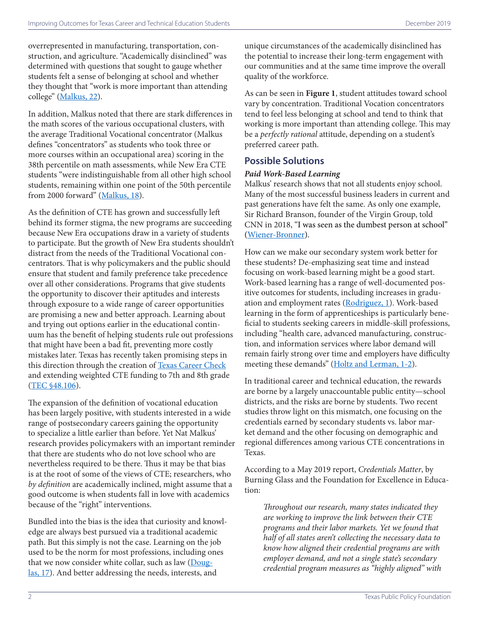overrepresented in manufacturing, transportation, construction, and agriculture. "Academically disinclined" was determined with questions that sought to gauge whether students felt a sense of belonging at school and whether they thought that "work is more important than attending college" [\(Malkus, 22](http://www.aei.org/wp-content/uploads/2019/04/RPT-Malkus-Evolution-of-CTE-5-FINAL.pdf)).

In addition, Malkus noted that there are stark differences in the math scores of the various occupational clusters, with the average Traditional Vocational concentrator (Malkus defines "concentrators" as students who took three or more courses within an occupational area) scoring in the 38th percentile on math assessments, while New Era CTE students "were indistinguishable from all other high school students, remaining within one point of the 50th percentile from 2000 forward" [\(Malkus, 18](http://www.aei.org/wp-content/uploads/2019/04/RPT-Malkus-Evolution-of-CTE-5-FINAL.pdf)).

As the definition of CTE has grown and successfully left behind its former stigma, the new programs are succeeding because New Era occupations draw in a variety of students to participate. But the growth of New Era students shouldn't distract from the needs of the Traditional Vocational concentrators. That is why policymakers and the public should ensure that student and family preference take precedence over all other considerations. Programs that give students the opportunity to discover their aptitudes and interests through exposure to a wide range of career opportunities are promising a new and better approach. Learning about and trying out options earlier in the educational continuum has the benefit of helping students rule out professions that might have been a bad fit, preventing more costly mistakes later. Texas has recently taken promising steps in this direction through the creation of [Texas Career Check](https://texascareercheck.com/) and extending weighted CTE funding to 7th and 8th grade (TEC §48.106).

The expansion of the definition of vocational education has been largely positive, with students interested in a wide range of postsecondary careers gaining the opportunity to specialize a little earlier than before. Yet Nat Malkus' research provides policymakers with an important reminder that there are students who do not love school who are nevertheless required to be there. Thus it may be that bias is at the root of some of the views of CTE; researchers, who *by definition* are academically inclined, might assume that a good outcome is when students fall in love with academics because of the "right" interventions.

Bundled into the bias is the idea that curiosity and knowledge are always best pursued via a traditional academic path. But this simply is not the case. Learning on the job used to be the norm for most professions, including ones that we now consider white collar, such as law (Douglas, 17). And better addressing the needs, interests, and

unique circumstances of the academically disinclined has the potential to increase their long-term engagement with our communities and at the same time improve the overall quality of the workforce.

As can be seen in **Figure 1**, student attitudes toward school vary by concentration. Traditional Vocation concentrators tend to feel less belonging at school and tend to think that working is more important than attending college. This may be a *perfectly rational* attitude, depending on a student's preferred career path.

## **Possible Solutions**

## *Paid Work-Based Learning*

Malkus' research shows that not all students enjoy school. Many of the most successful business leaders in current and past generations have felt the same. As only one example, Sir Richard Branson, founder of the Virgin Group, told CNN in 2018, "I was seen as the dumbest person at school" ([Wiener-Bronner\)](https://money.cnn.com/2018/04/26/news/companies/richard-branson-rebound/index.html).

How can we make our secondary system work better for these students? De-emphasizing seat time and instead focusing on work-based learning might be a good start. Work-based learning has a range of well-documented positive outcomes for students, including increases in graduation and employment rates ([Rodriguez, 1\)](https://files.eric.ed.gov/fulltext/ED574535.pdf). Work-based learning in the form of apprenticeships is particularly beneficial to students seeking careers in middle-skill professions, including "health care, advanced manufacturing, construction, and information services where labor demand will remain fairly strong over time and employers have difficulty meeting these demands" ([Holtz and Lerman, 1-2\)](https://www.cbpp.org/sites/default/files/atoms/files/4-2-14fe-holzer.pdf).

In traditional career and technical education, the rewards are borne by a largely unaccountable public entity—school districts, and the risks are borne by students. Two recent studies throw light on this mismatch, one focusing on the credentials earned by secondary students vs. labor market demand and the other focusing on demographic and regional differences among various CTE concentrations in Texas.

According to a May 2019 report, *Credentials Matter*, by Burning Glass and the Foundation for Excellence in Education:

*Throughout our research, many states indicated they are working to improve the link between their CTE programs and their labor markets. Yet we found that half of all states aren't collecting the necessary data to know how aligned their credential programs are with employer demand, and not a single state's secondary credential program measures as "highly aligned" with*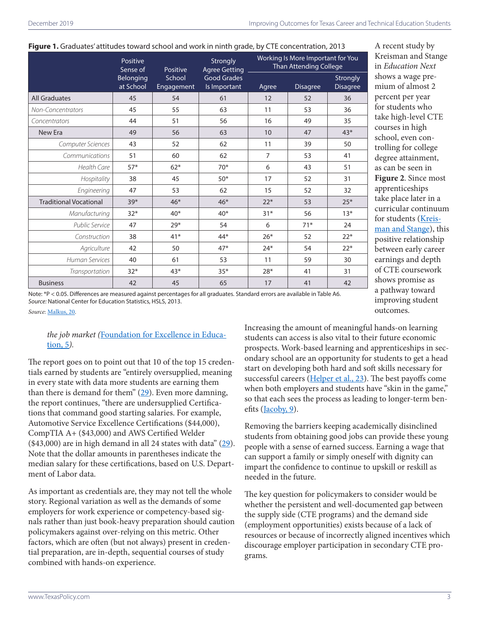#### **Figure 1.** Graduates' attitudes toward school and work in ninth grade, by CTE concentration, 2013

|                               | Positive<br>Sense of   | Positive<br>School<br>Engagement | Strongly<br><b>Agree Getting</b><br><b>Good Grades</b><br>Is Important | Working Is More Important for You<br><b>Than Attending College</b> |                 |                             |
|-------------------------------|------------------------|----------------------------------|------------------------------------------------------------------------|--------------------------------------------------------------------|-----------------|-----------------------------|
|                               | Belonging<br>at School |                                  |                                                                        | Agree                                                              | <b>Disagree</b> | Strongly<br><b>Disagree</b> |
| <b>All Graduates</b>          | 45                     | 54                               | 61                                                                     | 12                                                                 | 52              | 36                          |
| Non-Concentrators             | 45                     | 55                               | 63                                                                     | 11                                                                 | 53              | 36                          |
| Concentrators                 | 44                     | 51                               | 56                                                                     | 16                                                                 | 49              | 35                          |
| New Era                       | 49                     | 56                               | 63                                                                     | 10                                                                 | 47              | $43*$                       |
| Computer Sciences             | 43                     | 52                               | 62                                                                     | 11                                                                 | 39              | 50                          |
| Communications                | 51                     | 60                               | 62                                                                     | $\overline{7}$                                                     | 53              | 41                          |
| <b>Health Care</b>            | $57*$                  | $62*$                            | $70*$                                                                  | 6                                                                  | 43              | 51                          |
| Hospitality                   | 38                     | 45                               | $50*$                                                                  | 17                                                                 | 52              | 31                          |
| Engineering                   | 47                     | 53                               | 62                                                                     | 15                                                                 | 52              | 32                          |
| <b>Traditional Vocational</b> | $39*$                  | $46*$                            | $46*$                                                                  | $22*$                                                              | 53              | $25*$                       |
| Manufacturing                 | $32*$                  | $40*$                            | $40*$                                                                  | $31*$                                                              | 56              | $13*$                       |
| Public Service                | 47                     | $29*$                            | 54                                                                     | 6                                                                  | $71*$           | 24                          |
| Construction                  | 38                     | $41*$                            | 44*                                                                    | $26*$                                                              | 52              | $22*$                       |
| Agriculture                   | 42                     | 50                               | $47*$                                                                  | $24*$                                                              | 54              | $22*$                       |
| <b>Human Services</b>         | 40                     | 61                               | 53                                                                     | 11                                                                 | 59              | 30                          |
| Transportation                | $32*$                  | $43*$                            | $35*$                                                                  | $28*$                                                              | 41              | 31                          |
| <b>Business</b>               | 42                     | 45                               | 65                                                                     | 17                                                                 | 41              | 42                          |

A recent study by Kreisman and Stange in *Education Next* shows a wage premium of almost 2 percent per year for students who take high-level CTE courses in high school, even controlling for college degree attainment, as can be seen in **Figure 2**. Since most apprenticeships take place later in a curricular continuum for students [\(Kreis](https://www.educationnext.org/depth-over-breadth-value-vocational-education-u-s-high-schools/)[man and Stange](https://www.educationnext.org/depth-over-breadth-value-vocational-education-u-s-high-schools/)), this positive relationship between early career earnings and depth of CTE coursework shows promise as a pathway toward improving student outcomes.

Note: \*P < 0.05. Differences are measured against percentages for all graduates. Standard errors are available in Table A6. *Source:* National Center for Education Statistics, HSLS, 2013.

*Source*: [Malkus, 20](https://www.aei.org/wp-content/uploads/2019/04/RPT-Malkus-Evolution-of-CTE-5-FINAL.pdf).

### *the job market (*[Foundation for Excellence in Educa](https://www.excelined.org/wp-content/uploads/2019/05/ExcelinEdBurningGlassTechnologies.CredentialsMatterNationalLandscapeofHighSchoolCredentialAttainmentComparedtoWorkforceDemand.May2019.pdf)[tion, 5](https://www.excelined.org/wp-content/uploads/2019/05/ExcelinEdBurningGlassTechnologies.CredentialsMatterNationalLandscapeofHighSchoolCredentialAttainmentComparedtoWorkforceDemand.May2019.pdf)*).*

The report goes on to point out that 10 of the top 15 credentials earned by students are "entirely oversupplied, meaning in every state with data more students are earning them than there is demand for them"  $(29)$ . Even more damning, the report continues, "there are undersupplied Certifications that command good starting salaries. For example, Automotive Service Excellence Certifications (\$44,000), CompTIA A+ (\$43,000) and AWS Certified Welder (\$43,000) are in high demand in all 24 states with data" [\(29\)](https://www.excelined.org/wp-content/uploads/2019/05/ExcelinEdBurningGlassTechnologies.CredentialsMatterNationalLandscapeofHighSchoolCredentialAttainmentComparedtoWorkforceDemand.May2019.pdf). Note that the dollar amounts in parentheses indicate the median salary for these certifications, based on U.S. Department of Labor data.

As important as credentials are, they may not tell the whole story. Regional variation as well as the demands of some employers for work experience or competency-based signals rather than just book-heavy preparation should caution policymakers against over-relying on this metric. Other factors, which are often (but not always) present in credential preparation, are in-depth, sequential courses of study combined with hands-on experience.

Increasing the amount of meaningful hands-on learning students can access is also vital to their future economic prospects. Work-based learning and apprenticeships in secondary school are an opportunity for students to get a head start on developing both hard and soft skills necessary for successful careers [\(Helper et al., 23](https://files.eric.ed.gov/fulltext/ED572260.pdf)). The best payoffs come when both employers and students have "skin in the game," so that each sees the process as leading to longer-term benefits [\(Jacoby, 9\)](https://media4.manhattan-institute.org/pdf/cr_83.pdf).

Removing the barriers keeping academically disinclined students from obtaining good jobs can provide these young people with a sense of earned success. Earning a wage that can support a family or simply oneself with dignity can impart the confidence to continue to upskill or reskill as needed in the future.

The key question for policymakers to consider would be whether the persistent and well-documented gap between the supply side (CTE programs) and the demand side (employment opportunities) exists because of a lack of resources or because of incorrectly aligned incentives which discourage employer participation in secondary CTE programs.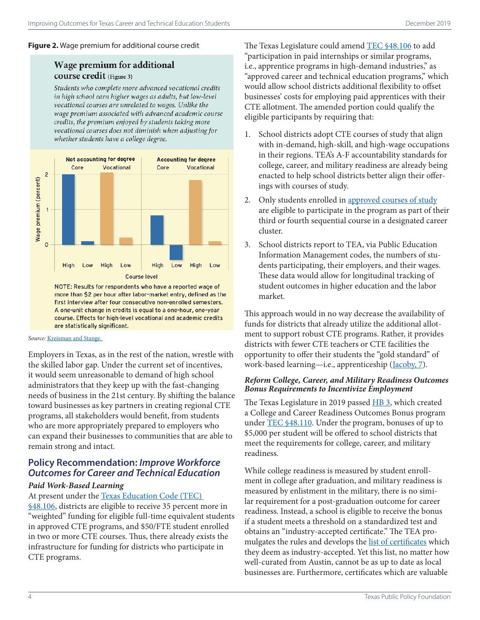#### **Figure 2.** Wage premium for additional course credit

## **Wage premium for additional** course credit (Figure 3)

Students who complete more advanced vocational credits in high school earn higher wages as adults, but low-level vocational courses are unrelated to wages. Unlike the wage premium associated with advanced academic course credits, the premium enjoyed by students taking more vocational courses does not diminish when adjusting for whether students have a college degree.



more than \$2 per hour after labor-market entry, defined as the first interview after four consecutive non-enrolled semesters. A one-unit change in credits is equal to a one-hour, one-year course. Effects for high-level vocational and academic credits are statistically significant.

#### *Source:* [Kreisman and Stange.](https://www.educationnext.org/depth-over-breadth-value-vocational-education-u-s-high-schools/)

Employers in Texas, as in the rest of the nation, wrestle with the skilled labor gap. Under the current set of incentives, it would seem unreasonable to demand of high school administrators that they keep up with the fast-changing needs of business in the 21st century. By shifting the balance toward businesses as key partners in creating regional CTE programs, all stakeholders would benefit, from students who are more appropriately prepared to employers who can expand their businesses to communities that are able to remain strong and intact.

## **Policy Recommendation:** *Improve Workforce Outcomes for Career and Technical Education*

#### *Paid Work-Based Learning*

At present under the Texas Education Code (TEC) §48.106, districts are eligible to receive 35 percent more in "weighted" funding for eligible full-time equivalent students in approved CTE programs, and \$50/FTE student enrolled in two or more CTE courses. Thus, there already exists the infrastructure for funding for districts who participate in CTE programs.

The Texas Legislature could amend TEC §48.106 to add "participation in paid internships or similar programs, i.e., apprentice programs in high-demand industries," as "approved career and technical education programs," which would allow school districts additional flexibility to offset businesses' costs for employing paid apprentices with their CTE allotment. The amended portion could qualify the eligible participants by requiring that:

- 1. School districts adopt CTE courses of study that align with in-demand, high-skill, and high-wage occupations in their regions. TEA's A-F accountability standards for college, career, and military readiness are already being enacted to help school districts better align their offerings with courses of study.
- 2. Only students enrolled in [approved courses of study](https://tea.texas.gov/Academics/College_Career_and_Military_Prep/Career_and_Technical_Education/Career_and_Technical_Education) are eligible to participate in the program as part of their third or fourth sequential course in a designated career cluster.
- 3. School districts report to TEA, via Public Education Information Management codes, the numbers of students participating, their employers, and their wages. These data would allow for longitudinal tracking of student outcomes in higher education and the labor market.

This approach would in no way decrease the availability of funds for districts that already utilize the additional allotment to support robust CTE programs. Rather, it provides districts with fewer CTE teachers or CTE facilities the opportunity to offer their students the "gold standard" of work-based learning—i.e., apprenticeship ([Jacoby, 7](https://media4.manhattan-institute.org/pdf/cr_83.pdf)).

#### *Reform College, Career, and Military Readiness Outcomes Bonus Requirements to Incentivize Employment*

The Texas Legislature in 2019 passed **HB 3**, which created a College and Career Readiness Outcomes Bonus program under TEC §48.110. Under the program, bonuses of up to \$5,000 per student will be offered to school districts that meet the requirements for college, career, and military readiness.

While college readiness is measured by student enrollment in college after graduation, and military readiness is measured by enlistment in the military, there is no similar requirement for a post-graduation outcome for career readiness. Instead, a school is eligible to receive the bonus if a student meets a threshold on a standardized test and obtains an "industry-accepted certificate." The TEA promulgates the rules and develops the [list of certificates](https://tea.texas.gov/sites/default/files/2019-2020%20Industry-based%20Certification%20List%20for%20Public%20School%20Accountability%202.pdf) which they deem as industry-accepted. Yet this list, no matter how well-curated from Austin, cannot be as up to date as local businesses are. Furthermore, certificates which are valuable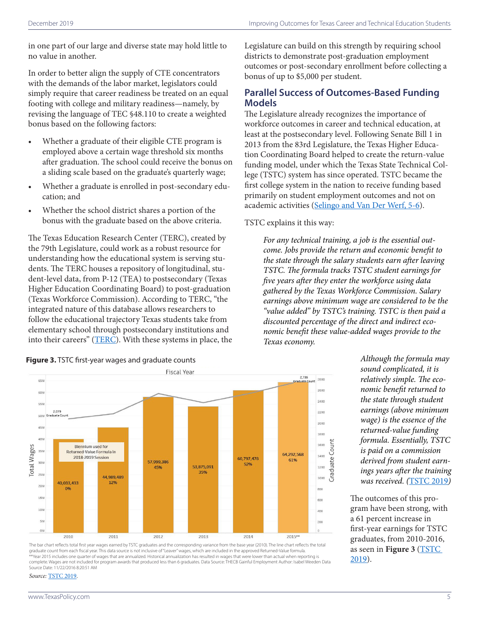in one part of our large and diverse state may hold little to no value in another.

In order to better align the supply of CTE concentrators with the demands of the labor market, legislators could simply require that career readiness be treated on an equal footing with college and military readiness—namely, by revising the language of TEC §48.110 to create a weighted bonus based on the following factors:

- Whether a graduate of their eligible CTE program is employed above a certain wage threshold six months after graduation. The school could receive the bonus on a sliding scale based on the graduate's quarterly wage;
- Whether a graduate is enrolled in post-secondary education; and
- Whether the school district shares a portion of the bonus with the graduate based on the above criteria.

The Texas Education Research Center (TERC), created by the 79th Legislature, could work as a robust resource for understanding how the educational system is serving students. The TERC houses a repository of longitudinal, student-level data, from P-12 (TEA) to postsecondary (Texas Higher Education Coordinating Board) to post-graduation (Texas Workforce Commission). According to TERC, "the integrated nature of this database allows researchers to follow the educational trajectory Texas students take from elementary school through postsecondary institutions and into their careers" ([TERC\)](https://texaserc.utexas.edu/about-us/history/). With these systems in place, the Legislature can build on this strength by requiring school districts to demonstrate post-graduation employment outcomes or post-secondary enrollment before collecting a bonus of up to \$5,000 per student.

## **Parallel Success of Outcomes-Based Funding Models**

The Legislature already recognizes the importance of workforce outcomes in career and technical education, at least at the postsecondary level. Following Senate Bill 1 in 2013 from the 83rd Legislature, the Texas Higher Education Coordinating Board helped to create the return-value funding model, under which the Texas State Technical College (TSTC) system has since operated. TSTC became the first college system in the nation to receive funding based primarily on student employment outcomes and not on academic activities [\(Selingo and Van Der Werf, 5-6](https://www.luminafoundation.org/files/resources/linking-appropriations-to-outcomes-tx-es.pdf)).

TSTC explains it this way:

*For any technical training, a job is the essential outcome. Jobs provide the return and economic benefit to the state through the salary students earn after leaving TSTC. The formula tracks TSTC student earnings for five years after they enter the workforce using data gathered by the Texas Workforce Commission. Salary earnings above minimum wage are considered to be the "value added" by TSTC's training. TSTC is then paid a discounted percentage of the direct and indirect economic benefit these value-added wages provide to the Texas economy.* 



*Although the formula may sound complicated, it is relatively simple. The economic benefit returned to the state through student earnings (above minimum wage) is the essence of the returned-value funding formula. Essentially, TSTC is paid on a commission derived from student earnings years after the training was received. (*[TSTC 2019](https://www.tstc.edu/about/funding)*)*

The outcomes of this program have been strong, with a 61 percent increase in first-year earnings for TSTC graduates, from 2010-2016, as seen in **Figure 3** ([TSTC](https://www.tstc.edu/about/funding)  [2019](https://www.tstc.edu/about/funding)).

## **Figure 3.** TSTC first-year wages and graduate counts

#### *Source:* [TSTC 2019.](https://www.tstc.edu/about/funding)

The bar chart reflects total first year wages earned by TSTC graduates and the corresponding variance from the base year (2010). The line chart reflects the total graduate count from each fiscal year. This data source is not inclusive of "Leaver" wages, which are included in the approved Returned-Value formula.<br>\*\*Year 2015 includes one quarter of wages that are annualized. Historica complete. Wages are not included for program awards that produced less than 6 graduates. Data Source: THECB Gainful Employment Author: Isabel Weeden Data Source Date: 11/22/2016 8:20:51 AM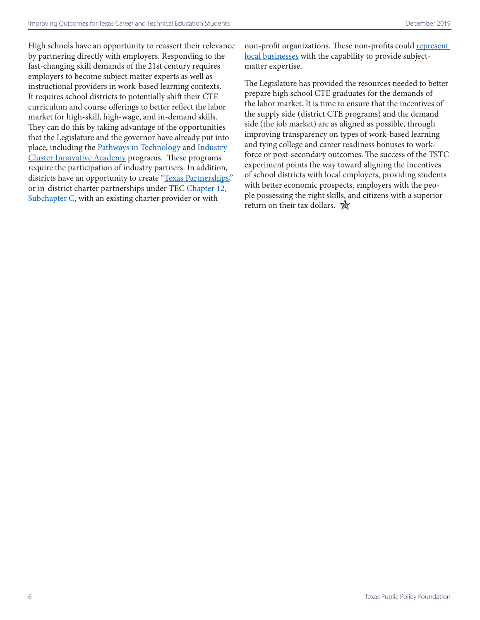High schools have an opportunity to reassert their relevance by partnering directly with employers. Responding to the fast-changing skill demands of the 21st century requires employers to become subject matter experts as well as instructional providers in work-based learning contexts. It requires school districts to potentially shift their CTE curriculum and course offerings to better reflect the labor market for high-skill, high-wage, and in-demand skills. They can do this by taking advantage of the opportunities that the Legislature and the governor have already put into place, including the [Pathways in Technology](https://tea.texas.gov/Academics/College%2C_Career%2C_and_Military_Prep/Pathways_in_Technology_Early_College_High_School_%28P-TECH%29) and Industry [Cluster Innovative Academy](https://tea.texas.gov/Academics/College%2C_Career%2C_and_Military_Prep/Industry_Cluster_Innovative_Academy) programs. These programs require the participation of industry partners. In addition, districts have an opportunity to create "[Texas Partnerships](https://txpartnerships.org/)," or in-district charter partnerships under TEC Chapter 12, Subchapter C, with an existing charter provider or with

non-profit organizations. These non-profits could represent [local businesses](https://statutes.capitol.texas.gov/Docs/ED/htm/ED.12.htm) with the capability to provide subjectmatter expertise.

The Legislature has provided the resources needed to better prepare high school CTE graduates for the demands of the labor market. It is time to ensure that the incentives of the supply side (district CTE programs) and the demand side (the job market) are as aligned as possible, through improving transparency on types of work-based learning and tying college and career readiness bonuses to workforce or post-secondary outcomes. The success of the TSTC experiment points the way toward aligning the incentives of school districts with local employers, providing students with better economic prospects, employers with the people possessing the right skills, and citizens with a superior return on their tax dollars.  $\mathbb{\hat{R}}$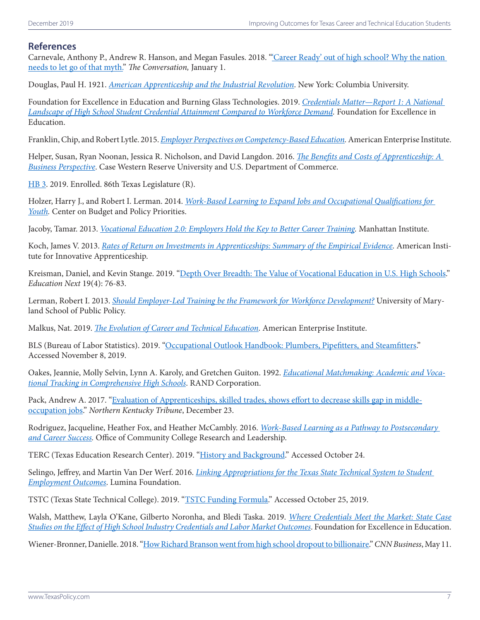## **References**

Carnevale, Anthony P., Andrew R. Hanson, and Megan Fasules. 2018. ["'Career Ready' out of high school? Why the nation](https://theconversation.com/career-ready-out-of-high-school-why-the-nation-needs-to-let-go-of-that-myth-88288)  [needs to let go of that myth."](https://theconversation.com/career-ready-out-of-high-school-why-the-nation-needs-to-let-go-of-that-myth-88288) *The Conversation,* January 1.

Douglas, Paul H. 1921. *American Apprenticeship and the Industrial Revolution*. New York: Columbia University.

Foundation for Excellence in Education and Burning Glass Technologies. 2019. *[Credentials Matter—Report 1: A National](https://www.excelined.org/wp-content/uploads/2019/05/ExcelinEdBurningGlassTechnologies.CredentialsMatterNationalLandscapeofHighSchoolCredentialAttainmentComparedtoWorkforceDemand.May2019.pdf)  [Landscape of High School Student Credential Attainment Compared to Workforce Demand.](https://www.excelined.org/wp-content/uploads/2019/05/ExcelinEdBurningGlassTechnologies.CredentialsMatterNationalLandscapeofHighSchoolCredentialAttainmentComparedtoWorkforceDemand.May2019.pdf)* Foundation for Excellence in Education.

Franklin, Chip, and Robert Lytle. 2015. *[Employer Perspectives on Competency-Based Education.](http://www.aei.org/wp-content/uploads/2015/04/Employer-Perspectives-on-Competency-Based-Education.pdf)* American Enterprise Institute.

Helper, Susan, Ryan Noonan, Jessica R. Nicholson, and David Langdon. 2016. *[The Benefits and Costs of Apprenticeship: A](https://files.eric.ed.gov/fulltext/ED572260.pdf)  [Business Perspective](https://files.eric.ed.gov/fulltext/ED572260.pdf)*. Case Western Reserve University and U.S. Department of Commerce.

HB 3. 2019. Enrolled. 86th Texas Legislature (R).

Holzer, Harry J., and Robert I. Lerman. 2014. *[Work-Based Learning to Expand Jobs and Occupational Qualifications for](https://www.cbpp.org/sites/default/files/atoms/files/4-2-14fe-holzer.pdf)  [Youth](https://www.cbpp.org/sites/default/files/atoms/files/4-2-14fe-holzer.pdf).* Center on Budget and Policy Priorities.

Jacoby, Tamar. 2013. *[Vocational Education 2.0: Employers Hold the Key to Better Career Training.](https://media4.manhattan-institute.org/pdf/cr_83.pdf)* Manhattan Institute.

Koch, James V. 2013. *[Rates of Return on Investments in Apprenticeships: Summary of the Empirical Evidence.](http://innovativeapprenticeship.org/wp-content/uploads/2017/03/Rates-of-Return-to-Investments-in-Apprenticeships-copy.pdf)* American Institute for Innovative Apprenticeship.

Kreisman, Daniel, and Kevin Stange. 2019. ["Depth Over Breadth: The Value of Vocational Education in U.S. High Schools.](https://www.educationnext.org/depth-over-breadth-value-vocational-education-u-s-high-schools/)" *Education Next* 19(4): 76-83.

Lerman, Robert I. 2013. *[Should Employer-Led Training be the Framework for Workforce Development?](http://umdcipe.org/conferences/WorkforceDevelopment/Papers/Workforce_Development_Lerman_Should_Employer-Led_Training_be_the_Framework_for_Workforce_Development.pdf)* University of Maryland School of Public Policy.

Malkus, Nat. 2019. *[The Evolution of Career and Technical Education](https://www.aei.org/wp-content/uploads/2019/04/RPT-Malkus-Evolution-of-CTE-5-FINAL.pdf)*. American Enterprise Institute.

BLS (Bureau of Labor Statistics). 2019. ["Occupational Outlook Handbook: Plumbers, Pipefitters, and Steamfitters](https://www.bls.gov/ooh/construction-and-extraction/plumbers-pipefitters-and-steamfitters.htm)." Accessed November 8, 2019.

Oakes, Jeannie, Molly Selvin, Lynn A. Karoly, and Gretchen Guiton. 1992. *[Educational Matchmaking: Academic and Voca](https://www.rand.org/pubs/reports/R4189.html)[tional Tracking in Comprehensive High Schools](https://www.rand.org/pubs/reports/R4189.html)*. RAND Corporation.

Pack, Andrew A. 2017. ["Evaluation of Apprenticeships, skilled trades, shows effort to decrease skills gap in middle](https://www.nkytribune.com/2017/12/evaluation-of-apprenticeships-skilled-trades-shows-effort-to-decease-skills-gap-in-middle-occupation-jobs/)[occupation jobs.](https://www.nkytribune.com/2017/12/evaluation-of-apprenticeships-skilled-trades-shows-effort-to-decease-skills-gap-in-middle-occupation-jobs/)" *Northern Kentucky Tribune*, December 23.

Rodriguez, Jacqueline, Heather Fox, and Heather McCambly. 2016. *[Work-Based Learning as a Pathway to Postsecondary](https://occrl.illinois.edu/docs/librariesProvider4/ptr/wbl-brief.pdf)  [and Career Success](https://occrl.illinois.edu/docs/librariesProvider4/ptr/wbl-brief.pdf).* Office of Community College Research and Leadership.

TERC (Texas Education Research Center). 2019. ["History and Background](https://texaserc.utexas.edu/about-us/history/)." Accessed October 24.

Selingo, Jeffrey, and Martin Van Der Werf. 2016. *[Linking Appropriations for the Texas State Technical System to Student](https://www.luminafoundation.org/files/resources/linking-appropriations-to-outcomes-tx-es.pdf)  [Employment Outcomes](https://www.luminafoundation.org/files/resources/linking-appropriations-to-outcomes-tx-es.pdf)*. Lumina Foundation.

TSTC (Texas State Technical College). 2019. "[TSTC Funding Formula.](https://www.tstc.edu/about/funding)" Accessed October 25, 2019.

Walsh, Matthew, Layla O'Kane, Gilberto Noronha, and Bledi Taska. 2019. *[Where Credentials Meet the Market: State Case](https://www.excelined.org/wp-content/uploads/2019/05/ExcelinEdBurningGlassTechnologies.CredentialsMatter.WhereCredentialsMeetTheMarket.June2019.pdf)  [Studies on the Effect of High School Industry Credentials and Labor Market Outcomes](https://www.excelined.org/wp-content/uploads/2019/05/ExcelinEdBurningGlassTechnologies.CredentialsMatter.WhereCredentialsMeetTheMarket.June2019.pdf)*. Foundation for Excellence in Education.

Wiener-Bronner, Danielle. 2018. "[How Richard Branson went from high school dropout to billionaire.](https://money.cnn.com/2018/04/26/news/companies/richard-branson-rebound/index.html)" *CNN Business*, May 11.